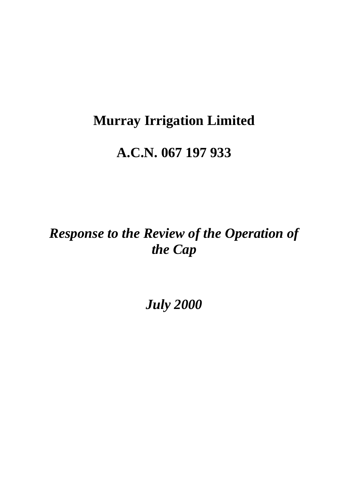## **Murray Irrigation Limited**

## **A.C.N. 067 197 933**

# *Response to the Review of the Operation of the Cap*

*July 2000*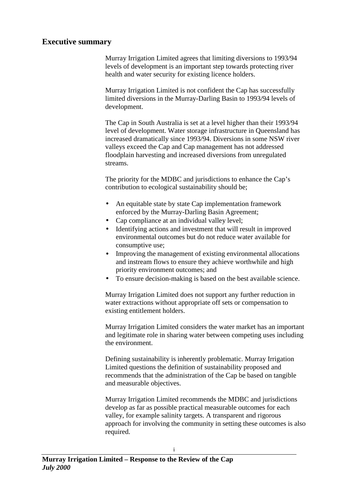#### **Executive summary**

Murray Irrigation Limited agrees that limiting diversions to 1993/94 levels of development is an important step towards protecting river health and water security for existing licence holders.

Murray Irrigation Limited is not confident the Cap has successfully limited diversions in the Murray-Darling Basin to 1993/94 levels of development.

The Cap in South Australia is set at a level higher than their 1993/94 level of development. Water storage infrastructure in Queensland has increased dramatically since 1993/94. Diversions in some NSW river valleys exceed the Cap and Cap management has not addressed floodplain harvesting and increased diversions from unregulated streams.

The priority for the MDBC and jurisdictions to enhance the Cap's contribution to ecological sustainability should be;

- An equitable state by state Cap implementation framework enforced by the Murray-Darling Basin Agreement;
- Cap compliance at an individual valley level;
- Identifying actions and investment that will result in improved environmental outcomes but do not reduce water available for consumptive use;
- Improving the management of existing environmental allocations and instream flows to ensure they achieve worthwhile and high priority environment outcomes; and
- To ensure decision-making is based on the best available science.

Murray Irrigation Limited does not support any further reduction in water extractions without appropriate off sets or compensation to existing entitlement holders.

Murray Irrigation Limited considers the water market has an important and legitimate role in sharing water between competing uses including the environment.

Defining sustainability is inherently problematic. Murray Irrigation Limited questions the definition of sustainability proposed and recommends that the administration of the Cap be based on tangible and measurable objectives.

Murray Irrigation Limited recommends the MDBC and jurisdictions develop as far as possible practical measurable outcomes for each valley, for example salinity targets. A transparent and rigorous approach for involving the community in setting these outcomes is also required.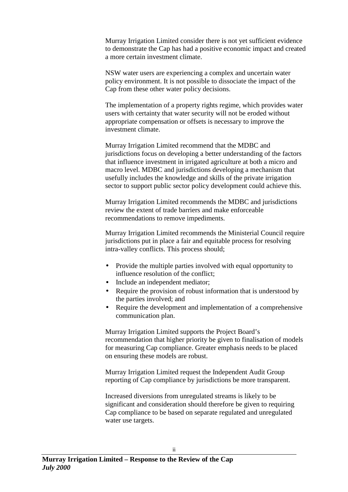Murray Irrigation Limited consider there is not yet sufficient evidence to demonstrate the Cap has had a positive economic impact and created a more certain investment climate.

NSW water users are experiencing a complex and uncertain water policy environment. It is not possible to dissociate the impact of the Cap from these other water policy decisions.

The implementation of a property rights regime, which provides water users with certainty that water security will not be eroded without appropriate compensation or offsets is necessary to improve the investment climate.

Murray Irrigation Limited recommend that the MDBC and jurisdictions focus on developing a better understanding of the factors that influence investment in irrigated agriculture at both a micro and macro level. MDBC and jurisdictions developing a mechanism that usefully includes the knowledge and skills of the private irrigation sector to support public sector policy development could achieve this.

Murray Irrigation Limited recommends the MDBC and jurisdictions review the extent of trade barriers and make enforceable recommendations to remove impediments.

Murray Irrigation Limited recommends the Ministerial Council require jurisdictions put in place a fair and equitable process for resolving intra-valley conflicts. This process should;

- Provide the multiple parties involved with equal opportunity to influence resolution of the conflict;
- Include an independent mediator;
- Require the provision of robust information that is understood by the parties involved; and
- Require the development and implementation of a comprehensive communication plan.

Murray Irrigation Limited supports the Project Board's recommendation that higher priority be given to finalisation of models for measuring Cap compliance. Greater emphasis needs to be placed on ensuring these models are robust.

Murray Irrigation Limited request the Independent Audit Group reporting of Cap compliance by jurisdictions be more transparent.

Increased diversions from unregulated streams is likely to be significant and consideration should therefore be given to requiring Cap compliance to be based on separate regulated and unregulated water use targets.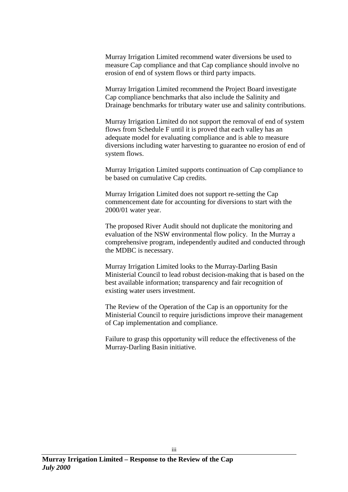Murray Irrigation Limited recommend water diversions be used to measure Cap compliance and that Cap compliance should involve no erosion of end of system flows or third party impacts.

Murray Irrigation Limited recommend the Project Board investigate Cap compliance benchmarks that also include the Salinity and Drainage benchmarks for tributary water use and salinity contributions.

Murray Irrigation Limited do not support the removal of end of system flows from Schedule F until it is proved that each valley has an adequate model for evaluating compliance and is able to measure diversions including water harvesting to guarantee no erosion of end of system flows.

Murray Irrigation Limited supports continuation of Cap compliance to be based on cumulative Cap credits.

Murray Irrigation Limited does not support re-setting the Cap commencement date for accounting for diversions to start with the 2000/01 water year.

The proposed River Audit should not duplicate the monitoring and evaluation of the NSW environmental flow policy. In the Murray a comprehensive program, independently audited and conducted through the MDBC is necessary.

Murray Irrigation Limited looks to the Murray-Darling Basin Ministerial Council to lead robust decision-making that is based on the best available information; transparency and fair recognition of existing water users investment.

The Review of the Operation of the Cap is an opportunity for the Ministerial Council to require jurisdictions improve their management of Cap implementation and compliance.

Failure to grasp this opportunity will reduce the effectiveness of the Murray-Darling Basin initiative.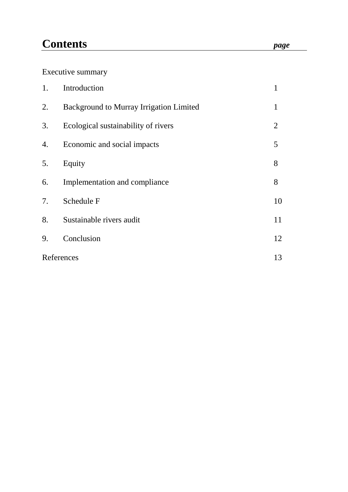## **Contents** *page*

## Executive summary

| 1.         | Introduction                                   | 1              |
|------------|------------------------------------------------|----------------|
| 2.         | <b>Background to Murray Irrigation Limited</b> | $\mathbf{1}$   |
| 3.         | Ecological sustainability of rivers            | $\overline{2}$ |
| 4.         | Economic and social impacts                    | 5              |
| 5.         | Equity                                         | 8              |
| 6.         | Implementation and compliance                  | 8              |
| 7.         | Schedule F                                     | 10             |
| 8.         | Sustainable rivers audit                       | 11             |
| 9.         | Conclusion                                     | 12             |
| References |                                                | 13             |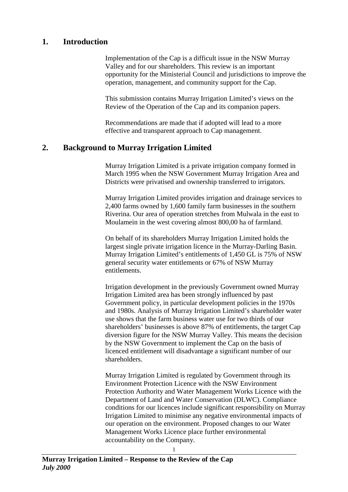### **1. Introduction**

Implementation of the Cap is a difficult issue in the NSW Murray Valley and for our shareholders. This review is an important opportunity for the Ministerial Council and jurisdictions to improve the operation, management, and community support for the Cap.

This submission contains Murray Irrigation Limited's views on the Review of the Operation of the Cap and its companion papers.

Recommendations are made that if adopted will lead to a more effective and transparent approach to Cap management.

## **2. Background to Murray Irrigation Limited**

Murray Irrigation Limited is a private irrigation company formed in March 1995 when the NSW Government Murray Irrigation Area and Districts were privatised and ownership transferred to irrigators.

Murray Irrigation Limited provides irrigation and drainage services to 2,400 farms owned by 1,600 family farm businesses in the southern Riverina. Our area of operation stretches from Mulwala in the east to Moulamein in the west covering almost 800,00 ha of farmland.

On behalf of its shareholders Murray Irrigation Limited holds the largest single private irrigation licence in the Murray-Darling Basin. Murray Irrigation Limited's entitlements of 1,450 GL is 75% of NSW general security water entitlements or 67% of NSW Murray entitlements.

Irrigation development in the previously Government owned Murray Irrigation Limited area has been strongly influenced by past Government policy, in particular development policies in the 1970s and 1980s. Analysis of Murray Irrigation Limited's shareholder water use shows that the farm business water use for two thirds of our shareholders' businesses is above 87% of entitlements, the target Cap diversion figure for the NSW Murray Valley. This means the decision by the NSW Government to implement the Cap on the basis of licenced entitlement will disadvantage a significant number of our shareholders.

Murray Irrigation Limited is regulated by Government through its Environment Protection Licence with the NSW Environment Protection Authority and Water Management Works Licence with the Department of Land and Water Conservation (DLWC). Compliance conditions for our licences include significant responsibility on Murray Irrigation Limited to minimise any negative environmental impacts of our operation on the environment. Proposed changes to our Water Management Works Licence place further environmental accountability on the Company.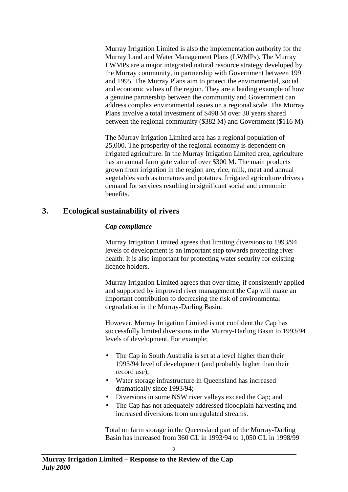Murray Irrigation Limited is also the implementation authority for the Murray Land and Water Management Plans (LWMPs). The Murray LWMPs are a major integrated natural resource strategy developed by the Murray community, in partnership with Government between 1991 and 1995. The Murray Plans aim to protect the environmental, social and economic values of the region. They are a leading example of how a genuine partnership between the community and Government can address complex environmental issues on a regional scale. The Murray Plans involve a total investment of \$498 M over 30 years shared between the regional community (\$382 M) and Government (\$116 M).

The Murray Irrigation Limited area has a regional population of 25,000. The prosperity of the regional economy is dependent on irrigated agriculture. In the Murray Irrigation Limited area, agriculture has an annual farm gate value of over \$300 M. The main products grown from irrigation in the region are, rice, milk, meat and annual vegetables such as tomatoes and potatoes. Irrigated agriculture drives a demand for services resulting in significant social and economic benefits.

## **3. Ecological sustainability of rivers**

### *Cap compliance*

Murray Irrigation Limited agrees that limiting diversions to 1993/94 levels of development is an important step towards protecting river health. It is also important for protecting water security for existing licence holders.

Murray Irrigation Limited agrees that over time, if consistently applied and supported by improved river management the Cap will make an important contribution to decreasing the risk of environmental degradation in the Murray-Darling Basin.

However, Murray Irrigation Limited is not confident the Cap has successfully limited diversions in the Murray-Darling Basin to 1993/94 levels of development. For example;

- The Cap in South Australia is set at a level higher than their 1993/94 level of development (and probably higher than their record use);
- Water storage infrastructure in Queensland has increased dramatically since 1993/94;
- Diversions in some NSW river valleys exceed the Cap; and
- The Cap has not adequately addressed floodplain harvesting and increased diversions from unregulated streams.

Total on farm storage in the Queensland part of the Murray-Darling Basin has increased from 360 GL in 1993/94 to 1,050 GL in 1998/99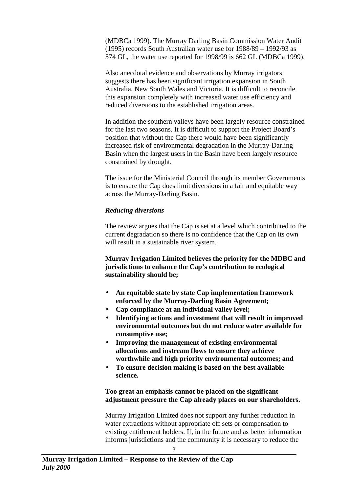(MDBCa 1999). The Murray Darling Basin Commission Water Audit (1995) records South Australian water use for 1988/89 – 1992/93 as 574 GL, the water use reported for 1998/99 is 662 GL (MDBCa 1999).

Also anecdotal evidence and observations by Murray irrigators suggests there has been significant irrigation expansion in South Australia, New South Wales and Victoria. It is difficult to reconcile this expansion completely with increased water use efficiency and reduced diversions to the established irrigation areas.

In addition the southern valleys have been largely resource constrained for the last two seasons. It is difficult to support the Project Board's position that without the Cap there would have been significantly increased risk of environmental degradation in the Murray-Darling Basin when the largest users in the Basin have been largely resource constrained by drought.

The issue for the Ministerial Council through its member Governments is to ensure the Cap does limit diversions in a fair and equitable way across the Murray-Darling Basin.

#### *Reducing diversions*

The review argues that the Cap is set at a level which contributed to the current degradation so there is no confidence that the Cap on its own will result in a sustainable river system.

#### **Murray Irrigation Limited believes the priority for the MDBC and jurisdictions to enhance the Cap's contribution to ecological sustainability should be;**

- **An equitable state by state Cap implementation framework enforced by the Murray-Darling Basin Agreement;**
- **Cap compliance at an individual valley level;**
- **Identifying actions and investment that will result in improved environmental outcomes but do not reduce water available for consumptive use;**
- **Improving the management of existing environmental allocations and instream flows to ensure they achieve worthwhile and high priority environmental outcomes; and**
- **To ensure decision making is based on the best available science.**

#### **Too great an emphasis cannot be placed on the significant adjustment pressure the Cap already places on our shareholders.**

Murray Irrigation Limited does not support any further reduction in water extractions without appropriate off sets or compensation to existing entitlement holders. If, in the future and as better information informs jurisdictions and the community it is necessary to reduce the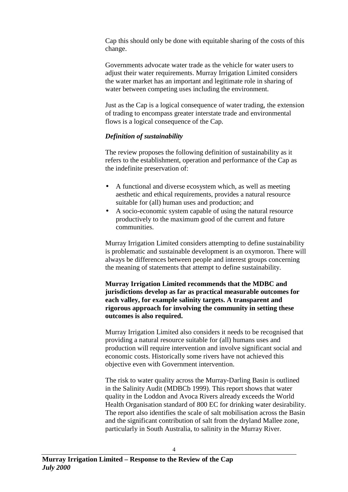Cap this should only be done with equitable sharing of the costs of this change.

Governments advocate water trade as the vehicle for water users to adjust their water requirements. Murray Irrigation Limited considers the water market has an important and legitimate role in sharing of water between competing uses including the environment.

Just as the Cap is a logical consequence of water trading, the extension of trading to encompass greater interstate trade and environmental flows is a logical consequence of the Cap.

#### *Definition of sustainability*

The review proposes the following definition of sustainability as it refers to the establishment, operation and performance of the Cap as the indefinite preservation of:

- A functional and diverse ecosystem which, as well as meeting aesthetic and ethical requirements, provides a natural resource suitable for (all) human uses and production; and
- A socio-economic system capable of using the natural resource productively to the maximum good of the current and future communities.

Murray Irrigation Limited considers attempting to define sustainability is problematic and sustainable development is an oxymoron. There will always be differences between people and interest groups concerning the meaning of statements that attempt to define sustainability.

**Murray Irrigation Limited recommends that the MDBC and jurisdictions develop as far as practical measurable outcomes for each valley, for example salinity targets. A transparent and rigorous approach for involving the community in setting these outcomes is also required.**

Murray Irrigation Limited also considers it needs to be recognised that providing a natural resource suitable for (all) humans uses and production will require intervention and involve significant social and economic costs. Historically some rivers have not achieved this objective even with Government intervention.

The risk to water quality across the Murray-Darling Basin is outlined in the Salinity Audit (MDBCb 1999). This report shows that water quality in the Loddon and Avoca Rivers already exceeds the World Health Organisation standard of 800 EC for drinking water desirability. The report also identifies the scale of salt mobilisation across the Basin and the significant contribution of salt from the dryland Mallee zone, particularly in South Australia, to salinity in the Murray River.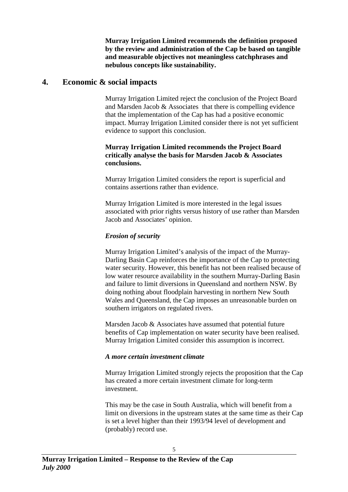**Murray Irrigation Limited recommends the definition proposed by the review and administration of the Cap be based on tangible and measurable objectives not meaningless catchphrases and nebulous concepts like sustainability.**

### **4. Economic & social impacts**

Murray Irrigation Limited reject the conclusion of the Project Board and Marsden Jacob & Associates that there is compelling evidence that the implementation of the Cap has had a positive economic impact. Murray Irrigation Limited consider there is not yet sufficient evidence to support this conclusion.

#### **Murray Irrigation Limited recommends the Project Board critically analyse the basis for Marsden Jacob & Associates conclusions.**

Murray Irrigation Limited considers the report is superficial and contains assertions rather than evidence.

Murray Irrigation Limited is more interested in the legal issues associated with prior rights versus history of use rather than Marsden Jacob and Associates' opinion.

#### *Erosion of security*

Murray Irrigation Limited's analysis of the impact of the Murray-Darling Basin Cap reinforces the importance of the Cap to protecting water security. However, this benefit has not been realised because of low water resource availability in the southern Murray-Darling Basin and failure to limit diversions in Queensland and northern NSW. By doing nothing about floodplain harvesting in northern New South Wales and Queensland, the Cap imposes an unreasonable burden on southern irrigators on regulated rivers.

Marsden Jacob & Associates have assumed that potential future benefits of Cap implementation on water security have been realised. Murray Irrigation Limited consider this assumption is incorrect.

#### *A more certain investment climate*

Murray Irrigation Limited strongly rejects the proposition that the Cap has created a more certain investment climate for long-term investment.

This may be the case in South Australia, which will benefit from a limit on diversions in the upstream states at the same time as their Cap is set a level higher than their 1993/94 level of development and (probably) record use.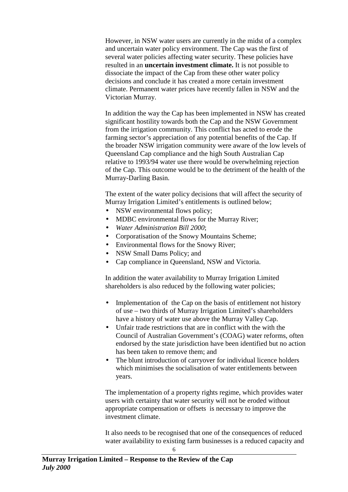However, in NSW water users are currently in the midst of a complex and uncertain water policy environment. The Cap was the first of several water policies affecting water security. These policies have resulted in an **uncertain investment climate.** It is not possible to dissociate the impact of the Cap from these other water policy decisions and conclude it has created a more certain investment climate. Permanent water prices have recently fallen in NSW and the Victorian Murray.

In addition the way the Cap has been implemented in NSW has created significant hostility towards both the Cap and the NSW Government from the irrigation community. This conflict has acted to erode the farming sector's appreciation of any potential benefits of the Cap. If the broader NSW irrigation community were aware of the low levels of Queensland Cap compliance and the high South Australian Cap relative to 1993/94 water use there would be overwhelming rejection of the Cap. This outcome would be to the detriment of the health of the Murray-Darling Basin.

The extent of the water policy decisions that will affect the security of Murray Irrigation Limited's entitlements is outlined below;

- NSW environmental flows policy;
- MDBC environmental flows for the Murray River;
- *Water Administration Bill 2000*;
- Corporatisation of the Snowy Mountains Scheme;
- Environmental flows for the Snowy River;
- NSW Small Dams Policy; and
- Cap compliance in Oueensland, NSW and Victoria.

In addition the water availability to Murray Irrigation Limited shareholders is also reduced by the following water policies;

- Implementation of the Cap on the basis of entitlement not history of use – two thirds of Murray Irrigation Limited's shareholders have a history of water use above the Murray Valley Cap.
- Unfair trade restrictions that are in conflict with the with the Council of Australian Government's (COAG) water reforms, often endorsed by the state jurisdiction have been identified but no action has been taken to remove them; and
- The blunt introduction of carryover for individual licence holders which minimises the socialisation of water entitlements between years.

The implementation of a property rights regime, which provides water users with certainty that water security will not be eroded without appropriate compensation or offsets is necessary to improve the investment climate.

It also needs to be recognised that one of the consequences of reduced water availability to existing farm businesses is a reduced capacity and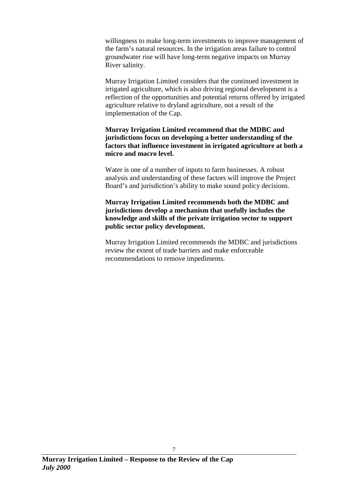willingness to make long-term investments to improve management of the farm's natural resources. In the irrigation areas failure to control groundwater rise will have long-term negative impacts on Murray River salinity.

Murray Irrigation Limited considers that the continued investment in irrigated agriculture, which is also driving regional development is a reflection of the opportunities and potential returns offered by irrigated agriculture relative to dryland agriculture, not a result of the implementation of the Cap.

**Murray Irrigation Limited recommend that the MDBC and jurisdictions focus on developing a better understanding of the factors that influence investment in irrigated agriculture at both a micro and macro level.**

Water is one of a number of inputs to farm businesses. A robust analysis and understanding of these factors will improve the Project Board's and jurisdiction's ability to make sound policy decisions.

#### **Murray Irrigation Limited recommends both the MDBC and jurisdictions develop a mechanism that usefully includes the knowledge and skills of the private irrigation sector to support public sector policy development.**

Murray Irrigation Limited recommends the MDBC and jurisdictions review the extent of trade barriers and make enforceable recommendations to remove impediments.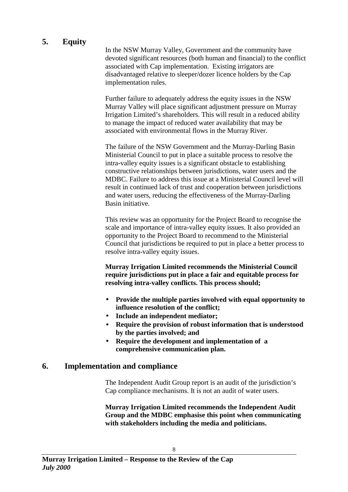## **5. Equity**

In the NSW Murray Valley, Government and the community have devoted significant resources (both human and financial) to the conflict associated with Cap implementation. Existing irrigators are disadvantaged relative to sleeper/dozer licence holders by the Cap implementation rules.

Further failure to adequately address the equity issues in the NSW Murray Valley will place significant adjustment pressure on Murray Irrigation Limited's shareholders. This will result in a reduced ability to manage the impact of reduced water availability that may be associated with environmental flows in the Murray River.

The failure of the NSW Government and the Murray-Darling Basin Ministerial Council to put in place a suitable process to resolve the intra-valley equity issues is a significant obstacle to establishing constructive relationships between jurisdictions, water users and the MDBC. Failure to address this issue at a Ministerial Council level will result in continued lack of trust and cooperation between jurisdictions and water users, reducing the effectiveness of the Murray-Darling Basin initiative.

This review was an opportunity for the Project Board to recognise the scale and importance of intra-valley equity issues. It also provided an opportunity to the Project Board to recommend to the Ministerial Council that jurisdictions be required to put in place a better process to resolve intra-valley equity issues.

**Murray Irrigation Limited recommends the Ministerial Council require jurisdictions put in place a fair and equitable process for resolving intra-valley conflicts. This process should;**

- **Provide the multiple parties involved with equal opportunity to influence resolution of the conflict;**
- **Include an independent mediator;**
- **Require the provision of robust information that is understood by the parties involved; and**
- **Require the development and implementation of a comprehensive communication plan.**

### **6. Implementation and compliance**

The Independent Audit Group report is an audit of the jurisdiction's Cap compliance mechanisms. It is not an audit of water users.

**Murray Irrigation Limited recommends the Independent Audit Group and the MDBC emphasise this point when communicating with stakeholders including the media and politicians.**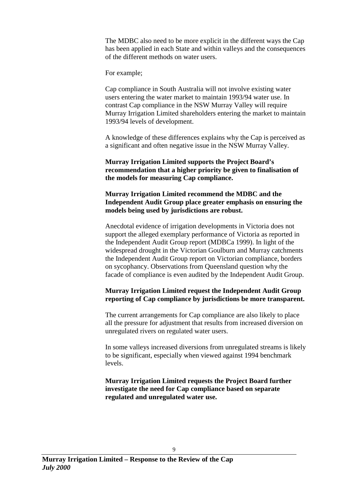The MDBC also need to be more explicit in the different ways the Cap has been applied in each State and within valleys and the consequences of the different methods on water users.

For example;

Cap compliance in South Australia will not involve existing water users entering the water market to maintain 1993/94 water use. In contrast Cap compliance in the NSW Murray Valley will require Murray Irrigation Limited shareholders entering the market to maintain 1993/94 levels of development.

A knowledge of these differences explains why the Cap is perceived as a significant and often negative issue in the NSW Murray Valley.

**Murray Irrigation Limited supports the Project Board's recommendation that a higher priority be given to finalisation of the models for measuring Cap compliance.**

**Murray Irrigation Limited recommend the MDBC and the Independent Audit Group place greater emphasis on ensuring the models being used by jurisdictions are robust.**

Anecdotal evidence of irrigation developments in Victoria does not support the alleged exemplary performance of Victoria as reported in the Independent Audit Group report (MDBCa 1999). In light of the widespread drought in the Victorian Goulburn and Murray catchments the Independent Audit Group report on Victorian compliance, borders on sycophancy. Observations from Queensland question why the facade of compliance is even audited by the Independent Audit Group.

#### **Murray Irrigation Limited request the Independent Audit Group reporting of Cap compliance by jurisdictions be more transparent.**

The current arrangements for Cap compliance are also likely to place all the pressure for adjustment that results from increased diversion on unregulated rivers on regulated water users.

In some valleys increased diversions from unregulated streams is likely to be significant, especially when viewed against 1994 benchmark levels.

**Murray Irrigation Limited requests the Project Board further investigate the need for Cap compliance based on separate regulated and unregulated water use.**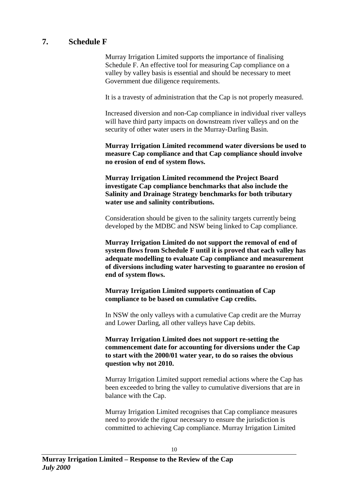## **7. Schedule F**

Murray Irrigation Limited supports the importance of finalising Schedule F. An effective tool for measuring Cap compliance on a valley by valley basis is essential and should be necessary to meet Government due diligence requirements.

It is a travesty of administration that the Cap is not properly measured.

Increased diversion and non-Cap compliance in individual river valleys will have third party impacts on downstream river valleys and on the security of other water users in the Murray-Darling Basin.

**Murray Irrigation Limited recommend water diversions be used to measure Cap compliance and that Cap compliance should involve no erosion of end of system flows.**

**Murray Irrigation Limited recommend the Project Board investigate Cap compliance benchmarks that also include the Salinity and Drainage Strategy benchmarks for both tributary water use and salinity contributions.**

Consideration should be given to the salinity targets currently being developed by the MDBC and NSW being linked to Cap compliance.

**Murray Irrigation Limited do not support the removal of end of system flows from Schedule F until it is proved that each valley has adequate modelling to evaluate Cap compliance and measurement of diversions including water harvesting to guarantee no erosion of end of system flows.**

**Murray Irrigation Limited supports continuation of Cap compliance to be based on cumulative Cap credits.**

In NSW the only valleys with a cumulative Cap credit are the Murray and Lower Darling, all other valleys have Cap debits.

**Murray Irrigation Limited does not support re-setting the commencement date for accounting for diversions under the Cap to start with the 2000/01 water year, to do so raises the obvious question why not 2010.**

Murray Irrigation Limited support remedial actions where the Cap has been exceeded to bring the valley to cumulative diversions that are in balance with the Cap.

Murray Irrigation Limited recognises that Cap compliance measures need to provide the rigour necessary to ensure the jurisdiction is committed to achieving Cap compliance. Murray Irrigation Limited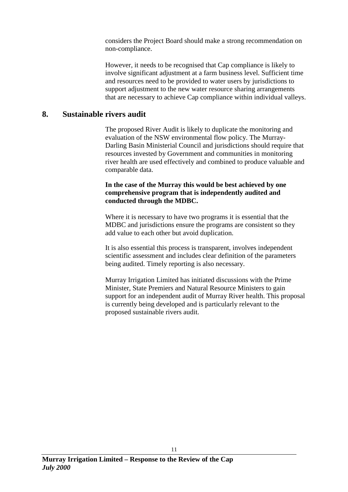considers the Project Board should make a strong recommendation on non-compliance.

However, it needs to be recognised that Cap compliance is likely to involve significant adjustment at a farm business level. Sufficient time and resources need to be provided to water users by jurisdictions to support adjustment to the new water resource sharing arrangements that are necessary to achieve Cap compliance within individual valleys.

### **8. Sustainable rivers audit**

The proposed River Audit is likely to duplicate the monitoring and evaluation of the NSW environmental flow policy. The Murray-Darling Basin Ministerial Council and jurisdictions should require that resources invested by Government and communities in monitoring river health are used effectively and combined to produce valuable and comparable data.

#### **In the case of the Murray this would be best achieved by one comprehensive program that is independently audited and conducted through the MDBC.**

Where it is necessary to have two programs it is essential that the MDBC and jurisdictions ensure the programs are consistent so they add value to each other but avoid duplication.

It is also essential this process is transparent, involves independent scientific assessment and includes clear definition of the parameters being audited. Timely reporting is also necessary.

Murray Irrigation Limited has initiated discussions with the Prime Minister, State Premiers and Natural Resource Ministers to gain support for an independent audit of Murray River health. This proposal is currently being developed and is particularly relevant to the proposed sustainable rivers audit.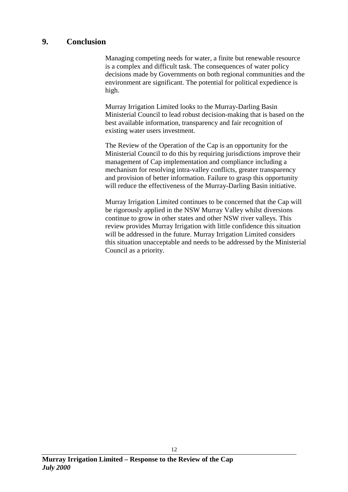### **9. Conclusion**

Managing competing needs for water, a finite but renewable resource is a complex and difficult task. The consequences of water policy decisions made by Governments on both regional communities and the environment are significant. The potential for political expedience is high.

Murray Irrigation Limited looks to the Murray-Darling Basin Ministerial Council to lead robust decision-making that is based on the best available information, transparency and fair recognition of existing water users investment.

The Review of the Operation of the Cap is an opportunity for the Ministerial Council to do this by requiring jurisdictions improve their management of Cap implementation and compliance including a mechanism for resolving intra-valley conflicts, greater transparency and provision of better information. Failure to grasp this opportunity will reduce the effectiveness of the Murray-Darling Basin initiative.

Murray Irrigation Limited continues to be concerned that the Cap will be rigorously applied in the NSW Murray Valley whilst diversions continue to grow in other states and other NSW river valleys. This review provides Murray Irrigation with little confidence this situation will be addressed in the future. Murray Irrigation Limited considers this situation unacceptable and needs to be addressed by the Ministerial Council as a priority.